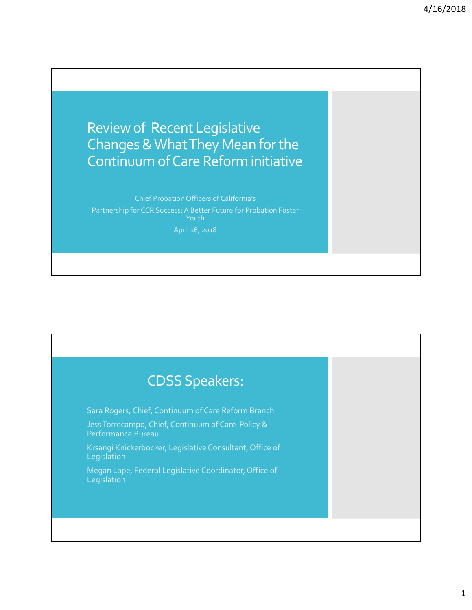Review of Recent Legislative Changes&WhatThey Mean forthe Continuum ofCare Reform initiative

Partnership for CCR Success: A Better Future for Probation Foster April 16, 2018

## **CDSS Speakers:** Sara Rogers, Chief, Continuum of Care Reform Branch JessTorrecampo, Chief, Continuum of Care Policy & Performance Bureau Krsangi Knickerbocker, Legislative Consultant, Office of **Legislation** Megan Lape, Federal Legislative Coordinator, Office of **Legislation**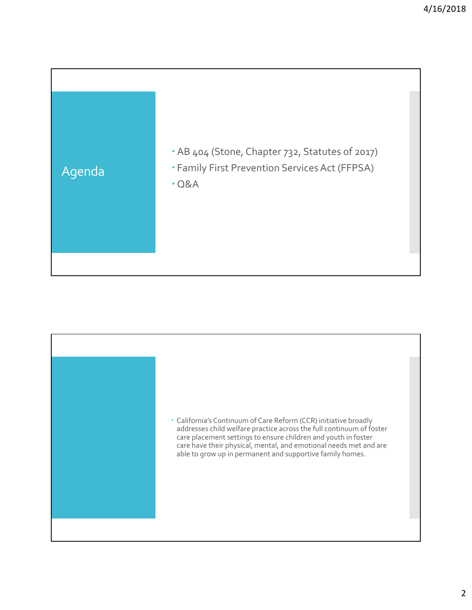

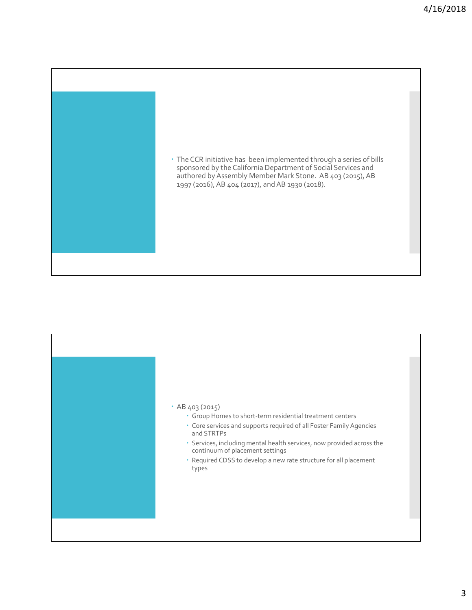

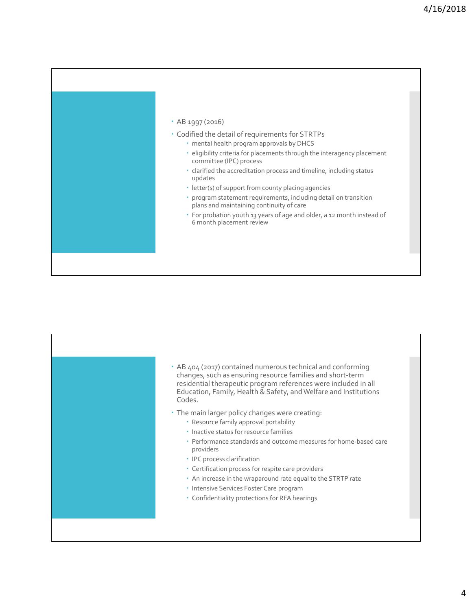## AB 1997 (2016)

- Codified the detail of requirements for STRTPs
	- mental health program approvals by DHCS
	- eligibility criteria for placements through the interagency placement committee (IPC) process
	- clarified the accreditation process and timeline, including status updates
	- letter(s) of support from county placing agencies
	- program statement requirements, including detail on transition plans and maintaining continuity of care
	- For probation youth 13 years of age and older, a 12 month instead of 6 month placement review

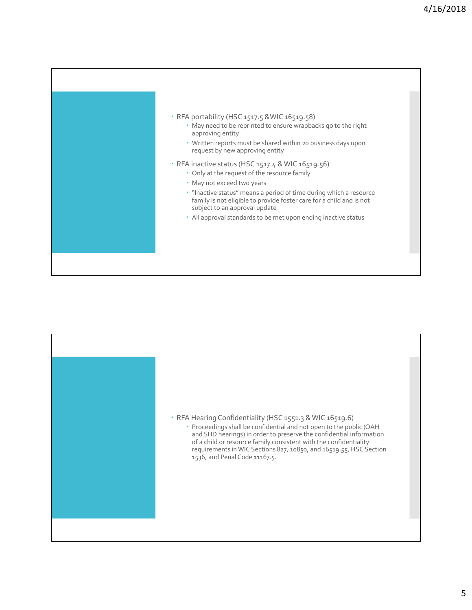

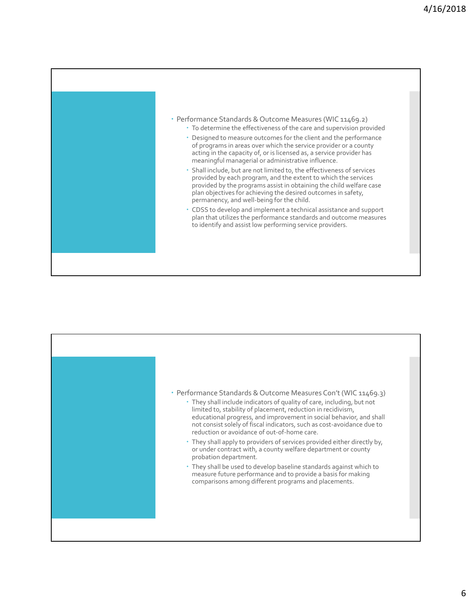

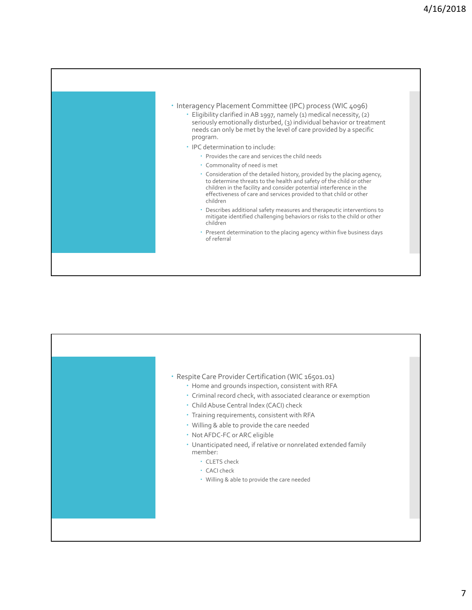

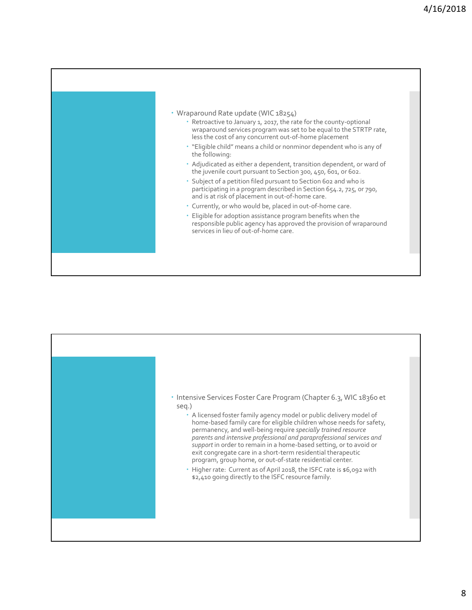

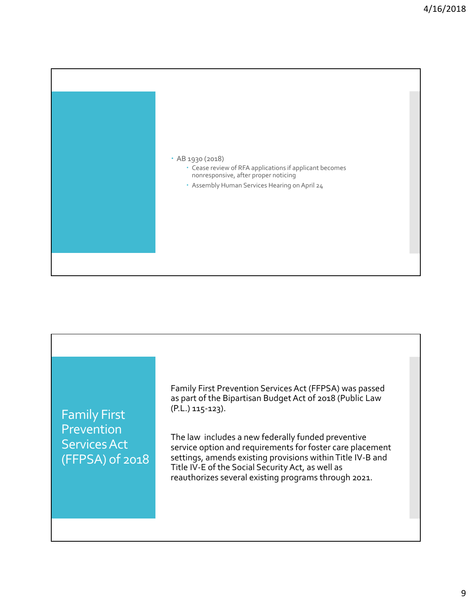

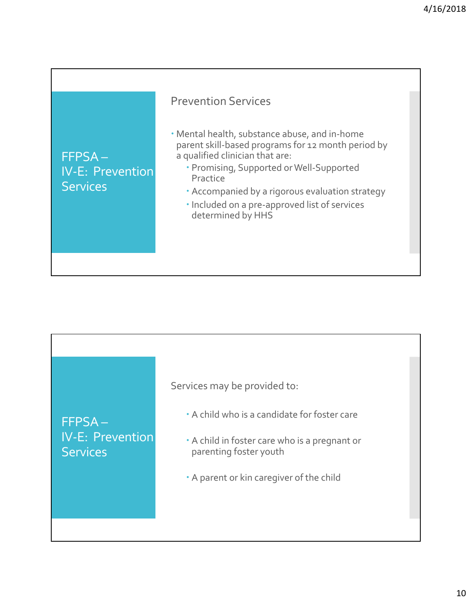

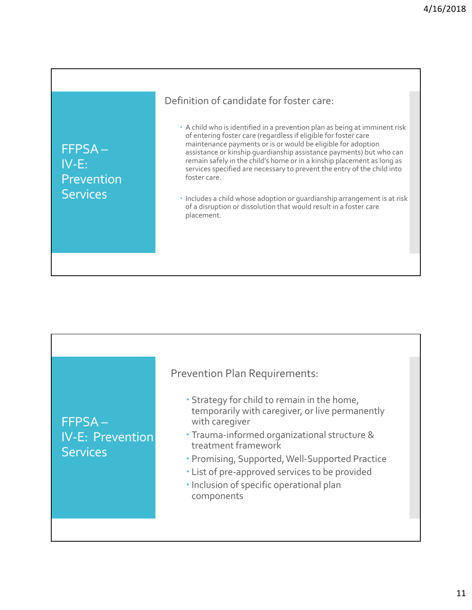FFPSA – IV‐E: Prevention **Services** 

## Definition of candidate for foster care:

- A child who is identified in a prevention plan as being at imminent risk of entering foster care (regardless if eligible for foster care maintenance payments or is or would be eligible for adoption assistance or kinship guardianship assistance payments) but who can remain safely in the child's home or in a kinship placement as long as services specified are necessary to prevent the entry of the child into foster care.
- $\cdot$  Includes a child whose adoption or guardianship arrangement is at risk of a disruption or dissolution that would result in a foster care placement.

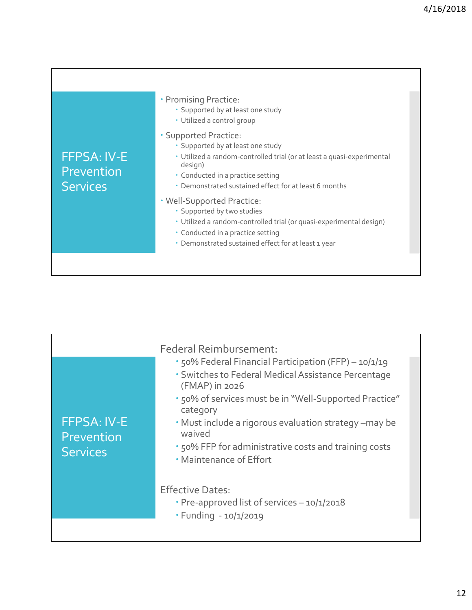| <b>FFPSA: IV-E</b><br>Prevention<br><b>Services</b> | • Promising Practice:<br>· Supported by at least one study<br>· Utilized a control group<br>• Supported Practice:<br>· Supported by at least one study<br>· Utilized a random-controlled trial (or at least a quasi-experimental<br>design)<br>• Conducted in a practice setting<br>• Demonstrated sustained effect for at least 6 months<br>. Well-Supported Practice:<br>· Supported by two studies<br>· Utilized a random-controlled trial (or quasi-experimental design) |
|-----------------------------------------------------|------------------------------------------------------------------------------------------------------------------------------------------------------------------------------------------------------------------------------------------------------------------------------------------------------------------------------------------------------------------------------------------------------------------------------------------------------------------------------|
|                                                     | • Conducted in a practice setting<br>· Demonstrated sustained effect for at least 1 year                                                                                                                                                                                                                                                                                                                                                                                     |
|                                                     |                                                                                                                                                                                                                                                                                                                                                                                                                                                                              |
|                                                     |                                                                                                                                                                                                                                                                                                                                                                                                                                                                              |

|                                              | <b>Federal Reimbursement:</b>                                                                                                                                                                                                                                                                                                                               |  |
|----------------------------------------------|-------------------------------------------------------------------------------------------------------------------------------------------------------------------------------------------------------------------------------------------------------------------------------------------------------------------------------------------------------------|--|
| <b>FFPSA: IV-E</b><br>Prevention<br>Services | . 50% Federal Financial Participation (FFP) - 10/1/19<br>· Switches to Federal Medical Assistance Percentage<br>(FMAP) in 2026<br>. 50% of services must be in "Well-Supported Practice"<br>category<br>• Must include a rigorous evaluation strategy -may be<br>waived<br>. 50% FFP for administrative costs and training costs<br>• Maintenance of Effort |  |
|                                              | <b>Effective Dates:</b><br>• Pre-approved list of services - 10/1/2018<br>· Funding - 10/1/2019                                                                                                                                                                                                                                                             |  |
|                                              |                                                                                                                                                                                                                                                                                                                                                             |  |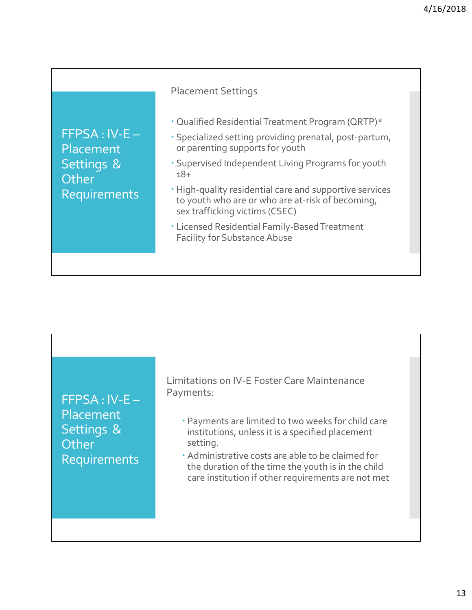٦

|                                                                   | <b>Placement Settings</b>                                                                                                                                                                                                                                                                                                                                                                                                                              |
|-------------------------------------------------------------------|--------------------------------------------------------------------------------------------------------------------------------------------------------------------------------------------------------------------------------------------------------------------------------------------------------------------------------------------------------------------------------------------------------------------------------------------------------|
| $FFPSA:IV-E-$<br>Placement<br>Settings &<br>Other<br>Requirements | • Qualified Residential Treatment Program (QRTP)*<br>· Specialized setting providing prenatal, post-partum,<br>or parenting supports for youth<br>. Supervised Independent Living Programs for youth<br>$18+$<br>. High-quality residential care and supportive services<br>to youth who are or who are at-risk of becoming,<br>sex trafficking victims (CSEC)<br>· Licensed Residential Family-Based Treatment<br><b>Facility for Substance Abuse</b> |

Г

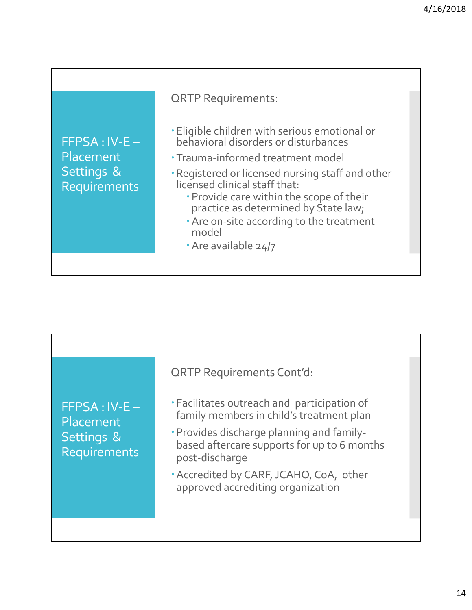

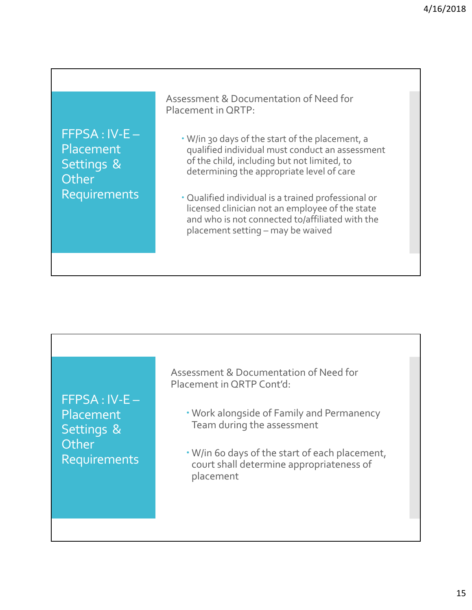FFPSA : IV‐E – Placement Settings & **Other** Requirements

Assessment & Documentation of Need for Placement in QRTP:

- W/in 30 days of the start of the placement, a qualified individual must conduct an assessment of the child, including but not limited, to determining the appropriate level of care
- Qualified individual is a trained professional or licensed clinician not an employee of the state and who is not connected to/affiliated with the placement setting – may be waived



Assessment & Documentation of Need for Placement in QRTP Cont'd:

- Work alongside of Family and Permanency Team during the assessment
- W/in 60 days of the start of each placement, court shall determine appropriateness of placement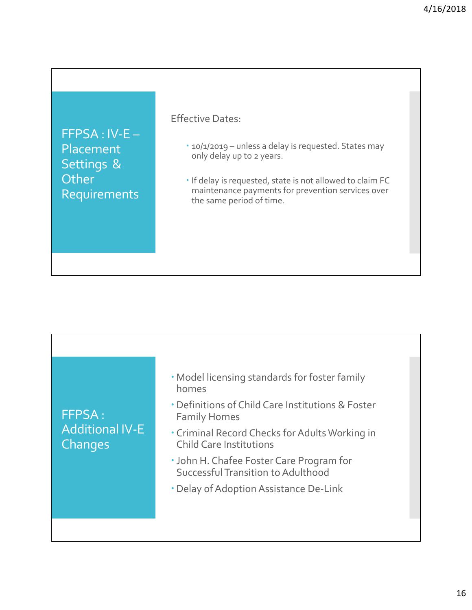FFPSA : IV‐E – Placement Settings & **Other** Requirements

Effective Dates:

- 10/1/2019 unless a delay is requested. States may only delay up to 2 years.
- $\cdot$  If delay is requested, state is not allowed to claim FC maintenance payments for prevention services over the same period of time.

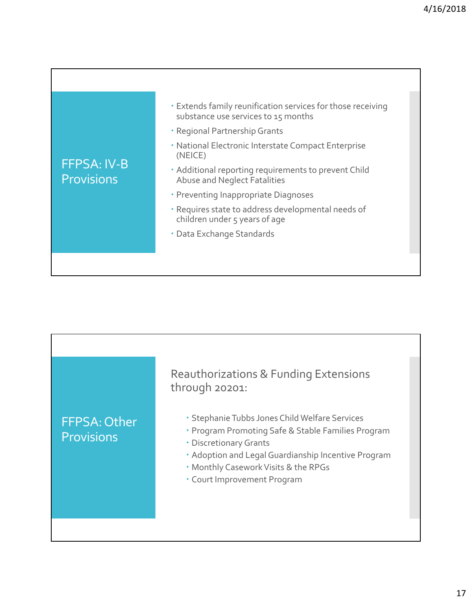| <b>FFPSA: IV-B</b><br><b>Provisions</b> | • Extends family reunification services for those receiving<br>substance use services to 15 months<br>• Regional Partnership Grants |
|-----------------------------------------|-------------------------------------------------------------------------------------------------------------------------------------|
|                                         | • National Electronic Interstate Compact Enterprise<br>(NEICE)                                                                      |
|                                         | • Additional reporting requirements to prevent Child<br>Abuse and Neglect Fatalities                                                |
|                                         | • Preventing Inappropriate Diagnoses                                                                                                |
|                                         | · Requires state to address developmental needs of<br>children under 5 years of age                                                 |
|                                         | · Data Exchange Standards                                                                                                           |
|                                         |                                                                                                                                     |

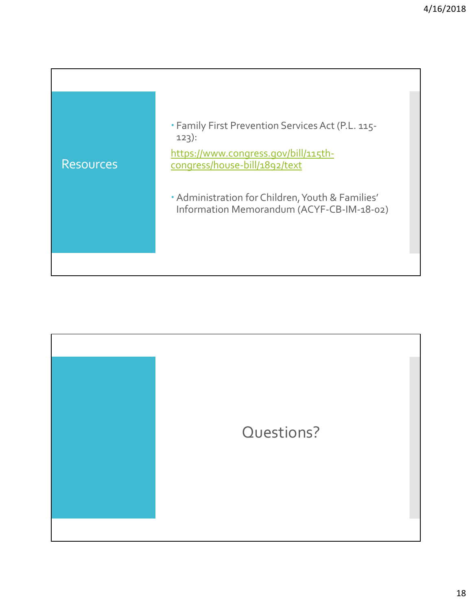